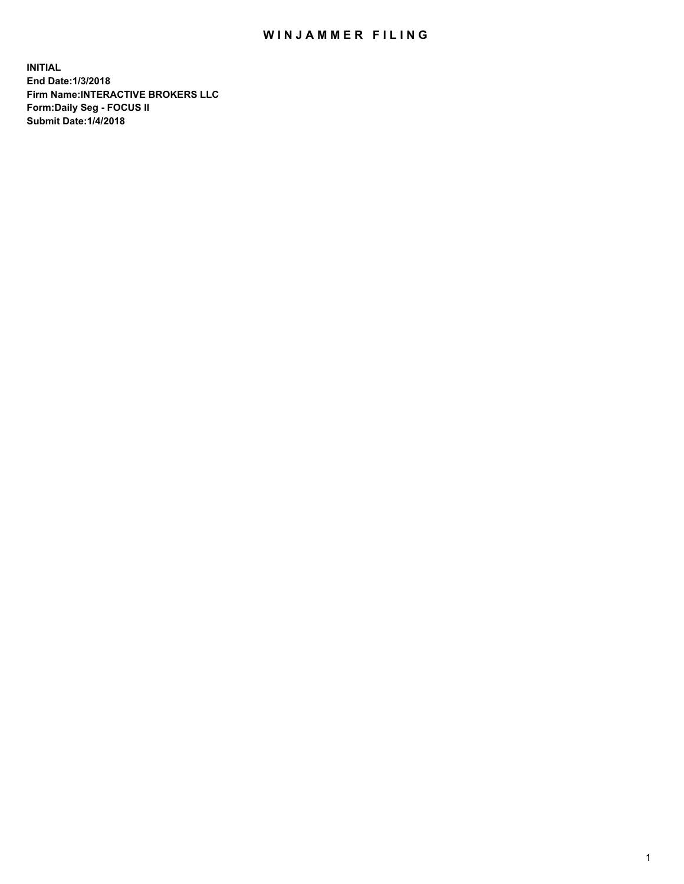## WIN JAMMER FILING

**INITIAL End Date:1/3/2018 Firm Name:INTERACTIVE BROKERS LLC Form:Daily Seg - FOCUS II Submit Date:1/4/2018**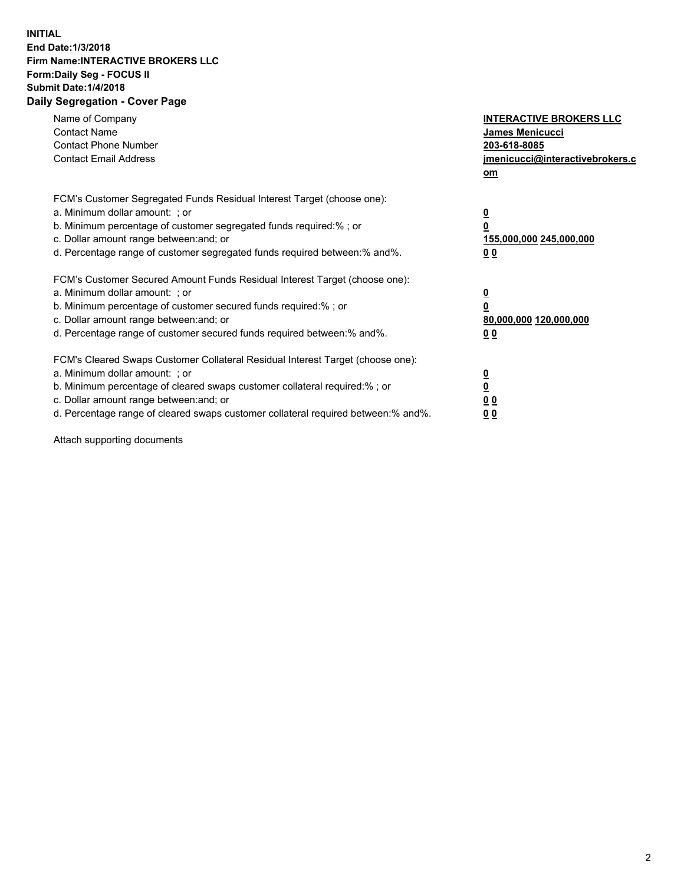## **INITIAL End Date:1/3/2018 Firm Name:INTERACTIVE BROKERS LLC Form:Daily Seg - FOCUS II Submit Date:1/4/2018 Daily Segregation - Cover Page**

| Name of Company<br><b>Contact Name</b><br><b>Contact Phone Number</b><br><b>Contact Email Address</b>                                                                                                                                                                                                                          | <b>INTERACTIVE BROKERS LLC</b><br>James Menicucci<br>203-618-8085<br>jmenicucci@interactivebrokers.c<br>om |
|--------------------------------------------------------------------------------------------------------------------------------------------------------------------------------------------------------------------------------------------------------------------------------------------------------------------------------|------------------------------------------------------------------------------------------------------------|
| FCM's Customer Segregated Funds Residual Interest Target (choose one):<br>a. Minimum dollar amount: ; or<br>b. Minimum percentage of customer segregated funds required:%; or<br>c. Dollar amount range between: and; or<br>d. Percentage range of customer segregated funds required between:% and%.                          | $\overline{\mathbf{0}}$<br>$\overline{\mathbf{0}}$<br>155,000,000 245,000,000<br>00                        |
| FCM's Customer Secured Amount Funds Residual Interest Target (choose one):<br>a. Minimum dollar amount: ; or<br>b. Minimum percentage of customer secured funds required:%; or<br>c. Dollar amount range between: and; or<br>d. Percentage range of customer secured funds required between: % and %.                          | $\overline{\mathbf{0}}$<br>$\mathbf 0$<br>80,000,000 120,000,000<br>00                                     |
| FCM's Cleared Swaps Customer Collateral Residual Interest Target (choose one):<br>a. Minimum dollar amount: ; or<br>b. Minimum percentage of cleared swaps customer collateral required:% ; or<br>c. Dollar amount range between: and; or<br>d. Percentage range of cleared swaps customer collateral required between:% and%. | $\overline{\mathbf{0}}$<br>$\underline{\mathbf{0}}$<br>0 <sub>0</sub><br>0 <sub>0</sub>                    |

Attach supporting documents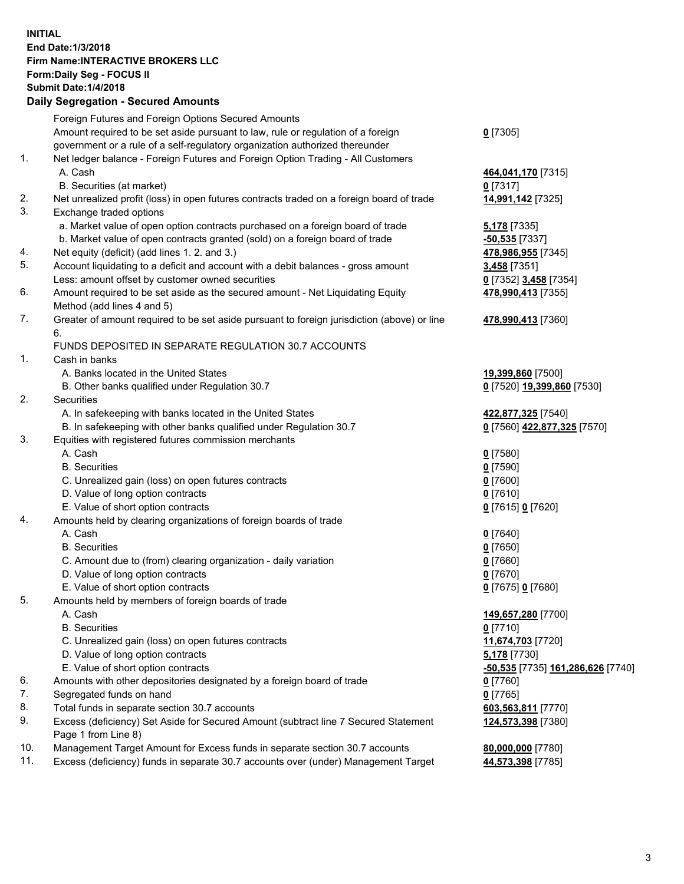## **INITIAL End Date:1/3/2018 Firm Name:INTERACTIVE BROKERS LLC Form:Daily Seg - FOCUS II Submit Date:1/4/2018 Daily Segregation - Secured Amounts**

| Foreign Futures and Foreign Options Secured Amounts<br>Amount required to be set aside pursuant to law, rule or regulation of a foreign<br>government or a rule of a self-regulatory organization authorized thereunder<br>Net ledger balance - Foreign Futures and Foreign Option Trading - All Customers<br>A. Cash | $0$ [7305]                        |
|-----------------------------------------------------------------------------------------------------------------------------------------------------------------------------------------------------------------------------------------------------------------------------------------------------------------------|-----------------------------------|
|                                                                                                                                                                                                                                                                                                                       |                                   |
|                                                                                                                                                                                                                                                                                                                       |                                   |
|                                                                                                                                                                                                                                                                                                                       |                                   |
|                                                                                                                                                                                                                                                                                                                       |                                   |
|                                                                                                                                                                                                                                                                                                                       | 464,041,170 [7315]                |
|                                                                                                                                                                                                                                                                                                                       | $0$ [7317]                        |
| Net unrealized profit (loss) in open futures contracts traded on a foreign board of trade                                                                                                                                                                                                                             | 14,991,142 [7325]                 |
| Exchange traded options                                                                                                                                                                                                                                                                                               |                                   |
| a. Market value of open option contracts purchased on a foreign board of trade                                                                                                                                                                                                                                        | <b>5,178</b> [7335]               |
| b. Market value of open contracts granted (sold) on a foreign board of trade                                                                                                                                                                                                                                          | $-50,535$ [7337]                  |
| Net equity (deficit) (add lines 1.2. and 3.)                                                                                                                                                                                                                                                                          | 478,986,955 [7345]                |
| Account liquidating to a deficit and account with a debit balances - gross amount                                                                                                                                                                                                                                     | 3,458 [7351]                      |
| Less: amount offset by customer owned securities                                                                                                                                                                                                                                                                      | 0 [7352] 3,458 [7354]             |
| Amount required to be set aside as the secured amount - Net Liquidating Equity                                                                                                                                                                                                                                        | 478,990,413 [7355]                |
| Method (add lines 4 and 5)                                                                                                                                                                                                                                                                                            |                                   |
| Greater of amount required to be set aside pursuant to foreign jurisdiction (above) or line                                                                                                                                                                                                                           | 478,990,413 [7360]                |
| 6.                                                                                                                                                                                                                                                                                                                    |                                   |
| FUNDS DEPOSITED IN SEPARATE REGULATION 30.7 ACCOUNTS                                                                                                                                                                                                                                                                  |                                   |
| Cash in banks                                                                                                                                                                                                                                                                                                         |                                   |
| A. Banks located in the United States                                                                                                                                                                                                                                                                                 | 19,399,860 [7500]                 |
| B. Other banks qualified under Regulation 30.7                                                                                                                                                                                                                                                                        | 0 [7520] 19,399,860 [7530]        |
| Securities                                                                                                                                                                                                                                                                                                            |                                   |
| A. In safekeeping with banks located in the United States                                                                                                                                                                                                                                                             | 422,877,325 [7540]                |
| B. In safekeeping with other banks qualified under Regulation 30.7                                                                                                                                                                                                                                                    | 0 [7560] 422,877,325 [7570]       |
| Equities with registered futures commission merchants                                                                                                                                                                                                                                                                 |                                   |
| A. Cash                                                                                                                                                                                                                                                                                                               | $0$ [7580]                        |
| <b>B.</b> Securities                                                                                                                                                                                                                                                                                                  | $0$ [7590]                        |
| C. Unrealized gain (loss) on open futures contracts                                                                                                                                                                                                                                                                   | $0$ [7600]                        |
| D. Value of long option contracts                                                                                                                                                                                                                                                                                     | $0$ [7610]                        |
| E. Value of short option contracts                                                                                                                                                                                                                                                                                    | 0 [7615] 0 [7620]                 |
| Amounts held by clearing organizations of foreign boards of trade                                                                                                                                                                                                                                                     |                                   |
| A. Cash                                                                                                                                                                                                                                                                                                               | $0$ [7640]                        |
| <b>B.</b> Securities                                                                                                                                                                                                                                                                                                  | $0$ [7650]                        |
| C. Amount due to (from) clearing organization - daily variation                                                                                                                                                                                                                                                       | $0$ [7660]                        |
| D. Value of long option contracts                                                                                                                                                                                                                                                                                     | $0$ [7670]                        |
| E. Value of short option contracts                                                                                                                                                                                                                                                                                    | 0 [7675] 0 [7680]                 |
| Amounts held by members of foreign boards of trade                                                                                                                                                                                                                                                                    |                                   |
| A. Cash                                                                                                                                                                                                                                                                                                               | 149,657,280 [7700]                |
| <b>B.</b> Securities                                                                                                                                                                                                                                                                                                  | $0$ [7710]                        |
| C. Unrealized gain (loss) on open futures contracts                                                                                                                                                                                                                                                                   | 11,674,703 [7720]                 |
| D. Value of long option contracts                                                                                                                                                                                                                                                                                     | 5,178 [7730]                      |
| E. Value of short option contracts                                                                                                                                                                                                                                                                                    | -50,535 [7735] 161,286,626 [7740] |
| Amounts with other depositories designated by a foreign board of trade                                                                                                                                                                                                                                                | $0$ [7760]                        |
| Segregated funds on hand                                                                                                                                                                                                                                                                                              | $0$ [7765]                        |
| Total funds in separate section 30.7 accounts                                                                                                                                                                                                                                                                         | 603,563,811 [7770]                |
| Excess (deficiency) Set Aside for Secured Amount (subtract line 7 Secured Statement                                                                                                                                                                                                                                   | 124,573,398 [7380]                |
| Page 1 from Line 8)                                                                                                                                                                                                                                                                                                   |                                   |
| Management Target Amount for Excess funds in separate section 30.7 accounts                                                                                                                                                                                                                                           | 80,000,000 [7780]                 |
| Excess (deficiency) funds in separate 30.7 accounts over (under) Management Target                                                                                                                                                                                                                                    | 44,573,398 [7785]                 |
|                                                                                                                                                                                                                                                                                                                       | B. Securities (at market)         |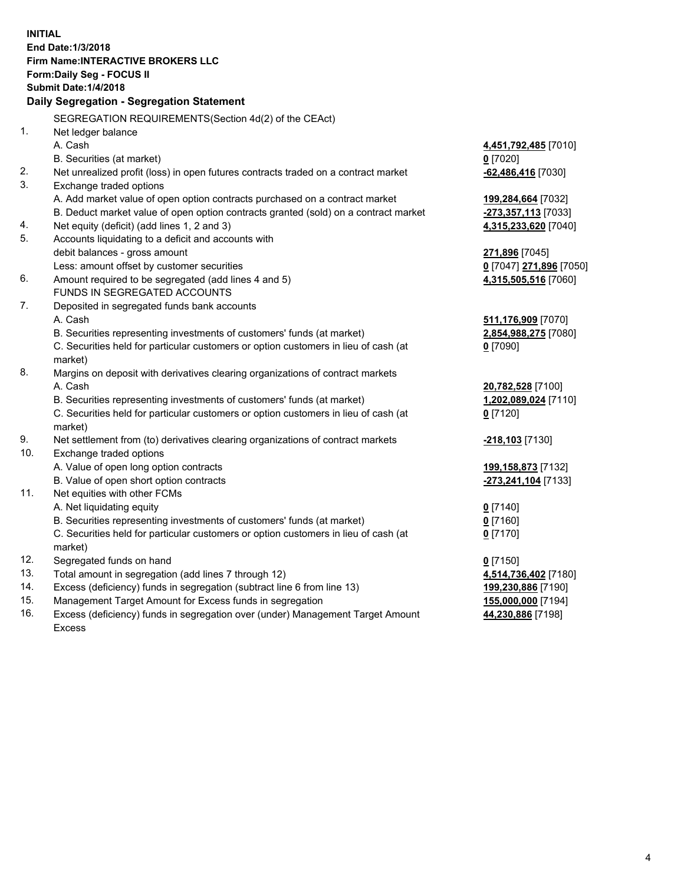**INITIAL End Date:1/3/2018 Firm Name:INTERACTIVE BROKERS LLC Form:Daily Seg - FOCUS II Submit Date:1/4/2018 Daily Segregation - Segregation Statement** SEGREGATION REQUIREMENTS(Section 4d(2) of the CEAct) 1. Net ledger balance A. Cash **4,451,792,485** [7010] B. Securities (at market) **0** [7020] 2. Net unrealized profit (loss) in open futures contracts traded on a contract market **-62,486,416** [7030] 3. Exchange traded options A. Add market value of open option contracts purchased on a contract market **199,284,664** [7032] B. Deduct market value of open option contracts granted (sold) on a contract market **-273,357,113** [7033] 4. Net equity (deficit) (add lines 1, 2 and 3) **4,315,233,620** [7040] 5. Accounts liquidating to a deficit and accounts with debit balances - gross amount **271,896** [7045] Less: amount offset by customer securities **0** [7047] **271,896** [7050] 6. Amount required to be segregated (add lines 4 and 5) **4,315,505,516** [7060] FUNDS IN SEGREGATED ACCOUNTS 7. Deposited in segregated funds bank accounts A. Cash **511,176,909** [7070] B. Securities representing investments of customers' funds (at market) **2,854,988,275** [7080] C. Securities held for particular customers or option customers in lieu of cash (at market) **0** [7090] 8. Margins on deposit with derivatives clearing organizations of contract markets A. Cash **20,782,528** [7100] B. Securities representing investments of customers' funds (at market) **1,202,089,024** [7110] C. Securities held for particular customers or option customers in lieu of cash (at market) **0** [7120] 9. Net settlement from (to) derivatives clearing organizations of contract markets **-218,103** [7130] 10. Exchange traded options A. Value of open long option contracts **199,158,873** [7132] B. Value of open short option contracts **-273,241,104** [7133] 11. Net equities with other FCMs A. Net liquidating equity **0** [7140] B. Securities representing investments of customers' funds (at market) **0** [7160] C. Securities held for particular customers or option customers in lieu of cash (at market) **0** [7170] 12. Segregated funds on hand **0** [7150] 13. Total amount in segregation (add lines 7 through 12) **4,514,736,402** [7180] 14. Excess (deficiency) funds in segregation (subtract line 6 from line 13) **199,230,886** [7190] 15. Management Target Amount for Excess funds in segregation **155,000,000** [7194] **44,230,886** [7198]

16. Excess (deficiency) funds in segregation over (under) Management Target Amount Excess